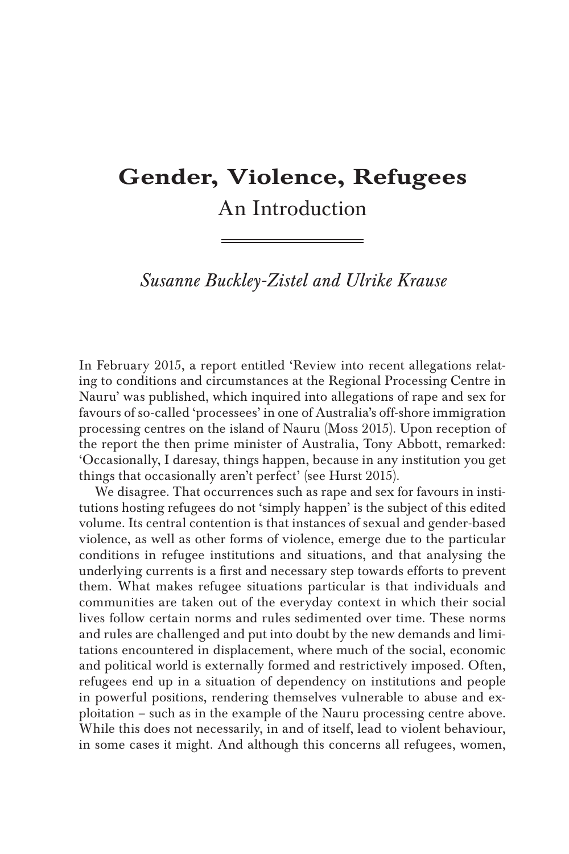# Gender, Violence, Refugees An Introduction

## *Susanne Buckley-Zistel and Ulrike Krause*

In February 2015, a report entitled 'Review into recent allegations relating to conditions and circumstances at the Regional Processing Centre in Nauru' was published, which inquired into allegations of rape and sex for favours of so-called 'processees' in one of Australia's off-shore immigration processing centres on the island of Nauru (Moss 2015). Upon reception of the report the then prime minister of Australia, Tony Abbott, remarked: 'Occasionally, I daresay, things happen, because in any institution you get things that occasionally aren't perfect' (see Hurst 2015).

We disagree. That occurrences such as rape and sex for favours in institutions hosting refugees do not 'simply happen' is the subject of this edited volume. Its central contention is that instances of sexual and gender-based violence, as well as other forms of violence, emerge due to the particular conditions in refugee institutions and situations, and that analysing the underlying currents is a first and necessary step towards efforts to prevent them. What makes refugee situations particular is that individuals and communities are taken out of the everyday context in which their social lives follow certain norms and rules sedimented over time. These norms and rules are challenged and put into doubt by the new demands and limitations encountered in displacement, where much of the social, economic and political world is externally formed and restrictively imposed. Often, refugees end up in a situation of dependency on institutions and people in powerful positions, rendering themselves vulnerable to abuse and exploitation – such as in the example of the Nauru processing centre above. While this does not necessarily, in and of itself, lead to violent behaviour, in some cases it might. And although this concerns all refugees, women,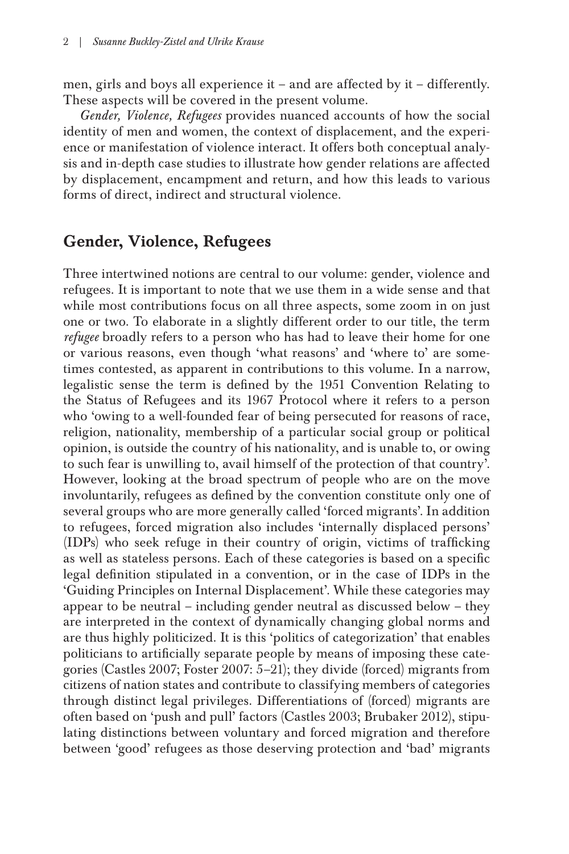men, girls and boys all experience it – and are affected by it – differently. These aspects will be covered in the present volume.

*Gender, Violence, Refugees* provides nuanced accounts of how the social identity of men and women, the context of displacement, and the experience or manifestation of violence interact. It offers both conceptual analysis and in-depth case studies to illustrate how gender relations are affected by displacement, encampment and return, and how this leads to various forms of direct, indirect and structural violence.

### Gender, Violence, Refugees

Three intertwined notions are central to our volume: gender, violence and refugees. It is important to note that we use them in a wide sense and that while most contributions focus on all three aspects, some zoom in on just one or two. To elaborate in a slightly different order to our title, the term *refugee* broadly refers to a person who has had to leave their home for one or various reasons, even though 'what reasons' and 'where to' are sometimes contested, as apparent in contributions to this volume. In a narrow, legalistic sense the term is defined by the 1951 Convention Relating to the Status of Refugees and its 1967 Protocol where it refers to a person who 'owing to a well-founded fear of being persecuted for reasons of race, religion, nationality, membership of a particular social group or political opinion, is outside the country of his nationality, and is unable to, or owing to such fear is unwilling to, avail himself of the protection of that country'. However, looking at the broad spectrum of people who are on the move involuntarily, refugees as defined by the convention constitute only one of several groups who are more generally called 'forced migrants'. In addition to refugees, forced migration also includes 'internally displaced persons' (IDPs) who seek refuge in their country of origin, victims of trafficking as well as stateless persons. Each of these categories is based on a specific legal definition stipulated in a convention, or in the case of IDPs in the 'Guiding Principles on Internal Displacement'. While these categories may appear to be neutral – including gender neutral as discussed below – they are interpreted in the context of dynamically changing global norms and are thus highly politicized. It is this 'politics of categorization' that enables politicians to artificially separate people by means of imposing these categories (Castles 2007; Foster 2007: 5–21); they divide (forced) migrants from citizens of nation states and contribute to classifying members of categories through distinct legal privileges. Differentiations of (forced) migrants are often based on 'push and pull' factors (Castles 2003; Brubaker 2012), stipulating distinctions between voluntary and forced migration and therefore between 'good' refugees as those deserving protection and 'bad' migrants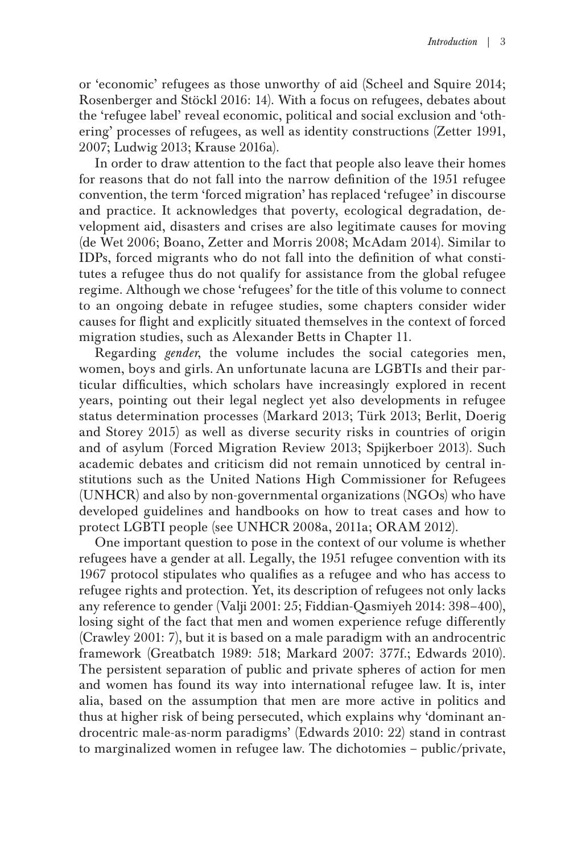or 'economic' refugees as those unworthy of aid (Scheel and Squire 2014; Rosenberger and Stöckl 2016: 14). With a focus on refugees, debates about the 'refugee label' reveal economic, political and social exclusion and 'othering' processes of refugees, as well as identity constructions (Zetter 1991, 2007; Ludwig 2013; Krause 2016a).

In order to draw attention to the fact that people also leave their homes for reasons that do not fall into the narrow definition of the 1951 refugee convention, the term 'forced migration' has replaced 'refugee' in discourse and practice. It acknowledges that poverty, ecological degradation, development aid, disasters and crises are also legitimate causes for moving (de Wet 2006; Boano, Zetter and Morris 2008; McAdam 2014). Similar to IDPs, forced migrants who do not fall into the definition of what constitutes a refugee thus do not qualify for assistance from the global refugee regime. Although we chose 'refugees' for the title of this volume to connect to an ongoing debate in refugee studies, some chapters consider wider causes for flight and explicitly situated themselves in the context of forced migration studies, such as Alexander Betts in Chapter 11.

Regarding *gender*, the volume includes the social categories men, women, boys and girls. An unfortunate lacuna are LGBTIs and their particular difficulties, which scholars have increasingly explored in recent years, pointing out their legal neglect yet also developments in refugee status determination processes (Markard 2013; Türk 2013; Berlit, Doerig and Storey 2015) as well as diverse security risks in countries of origin and of asylum (Forced Migration Review 2013; Spijkerboer 2013). Such academic debates and criticism did not remain unnoticed by central institutions such as the United Nations High Commissioner for Refugees (UNHCR) and also by non-governmental organizations (NGOs) who have developed guidelines and handbooks on how to treat cases and how to protect LGBTI people (see UNHCR 2008a, 2011a; ORAM 2012).

One important question to pose in the context of our volume is whether refugees have a gender at all. Legally, the 1951 refugee convention with its 1967 protocol stipulates who qualifies as a refugee and who has access to refugee rights and protection. Yet, its description of refugees not only lacks any reference to gender (Valji 2001: 25; Fiddian-Qasmiyeh 2014: 398–400), losing sight of the fact that men and women experience refuge differently (Crawley 2001: 7), but it is based on a male paradigm with an androcentric framework (Greatbatch 1989: 518; Markard 2007: 377f.; Edwards 2010). The persistent separation of public and private spheres of action for men and women has found its way into international refugee law. It is, inter alia, based on the assumption that men are more active in politics and thus at higher risk of being persecuted, which explains why 'dominant androcentric male-as-norm paradigms' (Edwards 2010: 22) stand in contrast to marginalized women in refugee law. The dichotomies – public/private,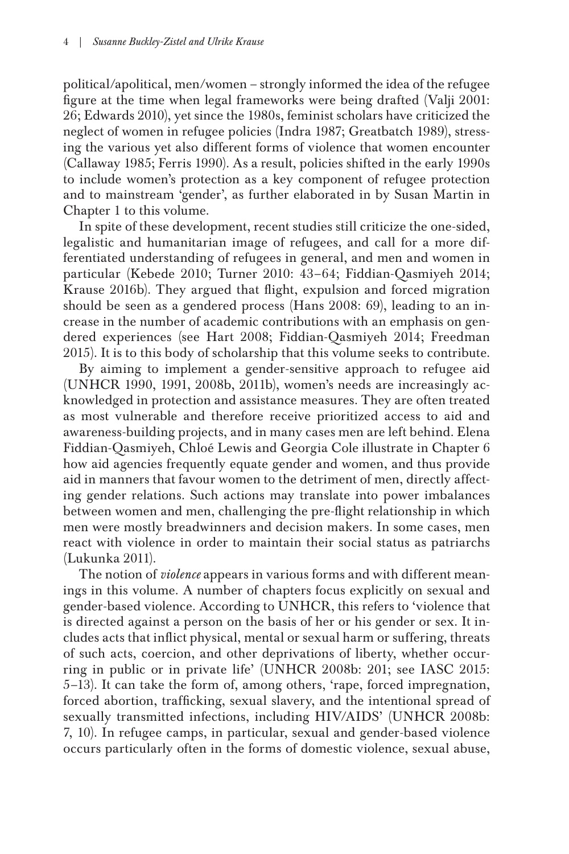political/apolitical, men/women – strongly informed the idea of the refugee figure at the time when legal frameworks were being drafted (Valji 2001: 26; Edwards 2010), yet since the 1980s, feminist scholars have criticized the neglect of women in refugee policies (Indra 1987; Greatbatch 1989), stressing the various yet also different forms of violence that women encounter (Callaway 1985; Ferris 1990). As a result, policies shifted in the early 1990s to include women's protection as a key component of refugee protection and to mainstream 'gender', as further elaborated in by Susan Martin in Chapter 1 to this volume.

In spite of these development, recent studies still criticize the one-sided, legalistic and humanitarian image of refugees, and call for a more differentiated understanding of refugees in general, and men and women in particular (Kebede 2010; Turner 2010: 43–64; Fiddian-Qasmiyeh 2014; Krause 2016b). They argued that flight, expulsion and forced migration should be seen as a gendered process (Hans 2008: 69), leading to an increase in the number of academic contributions with an emphasis on gendered experiences (see Hart 2008; Fiddian-Qasmiyeh 2014; Freedman 2015). It is to this body of scholarship that this volume seeks to contribute.

By aiming to implement a gender-sensitive approach to refugee aid (UNHCR 1990, 1991, 2008b, 2011b), women's needs are increasingly acknowledged in protection and assistance measures. They are often treated as most vulnerable and therefore receive prioritized access to aid and awareness-building projects, and in many cases men are left behind. Elena Fiddian-Qasmiyeh, Chloé Lewis and Georgia Cole illustrate in Chapter 6 how aid agencies frequently equate gender and women, and thus provide aid in manners that favour women to the detriment of men, directly affecting gender relations. Such actions may translate into power imbalances between women and men, challenging the pre-flight relationship in which men were mostly breadwinners and decision makers. In some cases, men react with violence in order to maintain their social status as patriarchs (Lukunka 2011).

The notion of *violence* appears in various forms and with different meanings in this volume. A number of chapters focus explicitly on sexual and gender-based violence. According to UNHCR, this refers to 'violence that is directed against a person on the basis of her or his gender or sex. It includes acts that inflict physical, mental or sexual harm or suffering, threats of such acts, coercion, and other deprivations of liberty, whether occurring in public or in private life' (UNHCR 2008b: 201; see IASC 2015: 5–13). It can take the form of, among others, 'rape, forced impregnation, forced abortion, trafficking, sexual slavery, and the intentional spread of sexually transmitted infections, including HIV/AIDS' (UNHCR 2008b: 7, 10). In refugee camps, in particular, sexual and gender-based violence occurs particularly often in the forms of domestic violence, sexual abuse,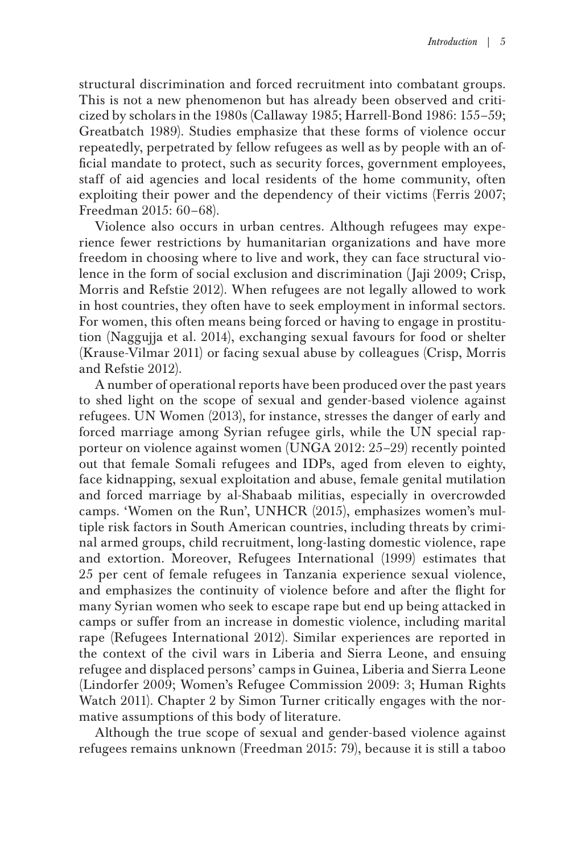structural discrimination and forced recruitment into combatant groups. This is not a new phenomenon but has already been observed and criticized by scholars in the 1980s (Callaway 1985; Harrell-Bond 1986: 155–59; Greatbatch 1989). Studies emphasize that these forms of violence occur repeatedly, perpetrated by fellow refugees as well as by people with an official mandate to protect, such as security forces, government employees, staff of aid agencies and local residents of the home community, often exploiting their power and the dependency of their victims (Ferris 2007; Freedman 2015: 60–68).

Violence also occurs in urban centres. Although refugees may experience fewer restrictions by humanitarian organizations and have more freedom in choosing where to live and work, they can face structural violence in the form of social exclusion and discrimination ( Jaji 2009; Crisp, Morris and Refstie 2012). When refugees are not legally allowed to work in host countries, they often have to seek employment in informal sectors. For women, this often means being forced or having to engage in prostitution (Naggujja et al. 2014), exchanging sexual favours for food or shelter (Krause-Vilmar 2011) or facing sexual abuse by colleagues (Crisp, Morris and Refstie 2012).

A number of operational reports have been produced over the past years to shed light on the scope of sexual and gender-based violence against refugees. UN Women (2013), for instance, stresses the danger of early and forced marriage among Syrian refugee girls, while the UN special rapporteur on violence against women (UNGA 2012: 25–29) recently pointed out that female Somali refugees and IDPs, aged from eleven to eighty, face kidnapping, sexual exploitation and abuse, female genital mutilation and forced marriage by al-Shabaab militias, especially in overcrowded camps. 'Women on the Run', UNHCR (2015), emphasizes women's multiple risk factors in South American countries, including threats by criminal armed groups, child recruitment, long-lasting domestic violence, rape and extortion. Moreover, Refugees International (1999) estimates that 25 per cent of female refugees in Tanzania experience sexual violence, and emphasizes the continuity of violence before and after the flight for many Syrian women who seek to escape rape but end up being attacked in camps or suffer from an increase in domestic violence, including marital rape (Refugees International 2012). Similar experiences are reported in the context of the civil wars in Liberia and Sierra Leone, and ensuing refugee and displaced persons' camps in Guinea, Liberia and Sierra Leone (Lindorfer 2009; Women's Refugee Commission 2009: 3; Human Rights Watch 2011). Chapter 2 by Simon Turner critically engages with the normative assumptions of this body of literature.

Although the true scope of sexual and gender-based violence against refugees remains unknown (Freedman 2015: 79), because it is still a taboo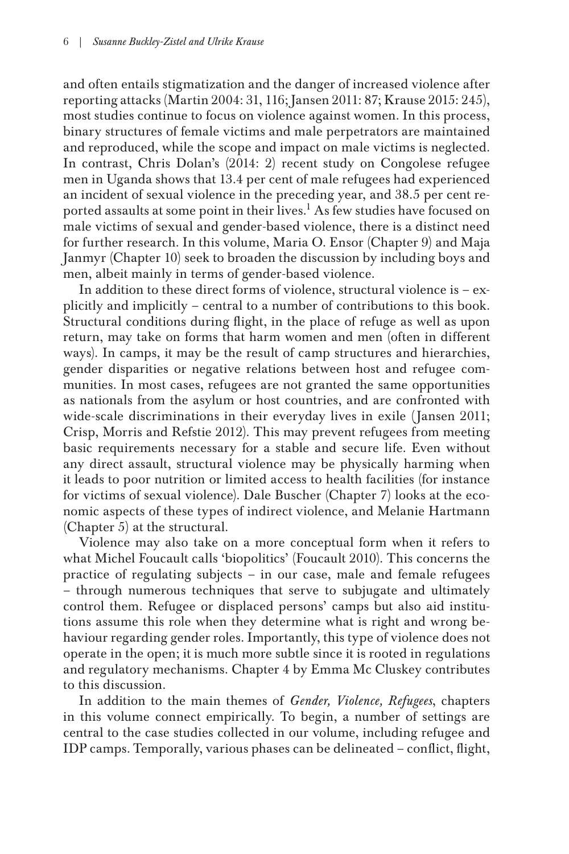and often entails stigmatization and the danger of increased violence after reporting attacks (Martin 2004: 31, 116; Jansen 2011: 87; Krause 2015: 245), most studies continue to focus on violence against women. In this process, binary structures of female victims and male perpetrators are maintained and reproduced, while the scope and impact on male victims is neglected. In contrast, Chris Dolan's (2014: 2) recent study on Congolese refugee men in Uganda shows that 13.4 per cent of male refugees had experienced an incident of sexual violence in the preceding year, and 38.5 per cent reported assaults at some point in their lives.<sup>1</sup> As few studies have focused on male victims of sexual and gender-based violence, there is a distinct need for further research. In this volume, Maria O. Ensor (Chapter 9) and Maja Janmyr (Chapter 10) seek to broaden the discussion by including boys and men, albeit mainly in terms of gender-based violence.

In addition to these direct forms of violence, structural violence is – explicitly and implicitly – central to a number of contributions to this book. Structural conditions during flight, in the place of refuge as well as upon return, may take on forms that harm women and men (often in different ways). In camps, it may be the result of camp structures and hierarchies, gender disparities or negative relations between host and refugee communities. In most cases, refugees are not granted the same opportunities as nationals from the asylum or host countries, and are confronted with wide-scale discriminations in their everyday lives in exile (Jansen 2011; Crisp, Morris and Refstie 2012). This may prevent refugees from meeting basic requirements necessary for a stable and secure life. Even without any direct assault, structural violence may be physically harming when it leads to poor nutrition or limited access to health facilities (for instance for victims of sexual violence). Dale Buscher (Chapter 7) looks at the economic aspects of these types of indirect violence, and Melanie Hartmann (Chapter 5) at the structural.

Violence may also take on a more conceptual form when it refers to what Michel Foucault calls 'biopolitics' (Foucault 2010). This concerns the practice of regulating subjects – in our case, male and female refugees – through numerous techniques that serve to subjugate and ultimately control them. Refugee or displaced persons' camps but also aid institutions assume this role when they determine what is right and wrong behaviour regarding gender roles. Importantly, this type of violence does not operate in the open; it is much more subtle since it is rooted in regulations and regulatory mechanisms. Chapter 4 by Emma Mc Cluskey contributes to this discussion.

In addition to the main themes of *Gender, Violence, Refugees*, chapters in this volume connect empirically. To begin, a number of settings are central to the case studies collected in our volume, including refugee and IDP camps. Temporally, various phases can be delineated – conflict, flight,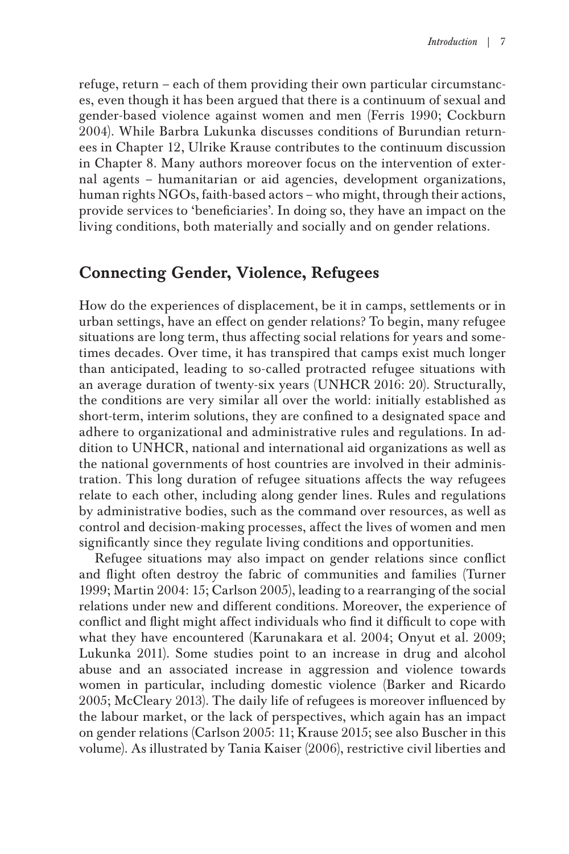refuge, return – each of them providing their own particular circumstances, even though it has been argued that there is a continuum of sexual and gender-based violence against women and men (Ferris 1990; Cockburn 2004). While Barbra Lukunka discusses conditions of Burundian returnees in Chapter 12, Ulrike Krause contributes to the continuum discussion in Chapter 8. Many authors moreover focus on the intervention of external agents – humanitarian or aid agencies, development organizations, human rights NGOs, faith-based actors – who might, through their actions, provide services to 'beneficiaries'. In doing so, they have an impact on the living conditions, both materially and socially and on gender relations.

#### Connecting Gender, Violence, Refugees

How do the experiences of displacement, be it in camps, settlements or in urban settings, have an effect on gender relations? To begin, many refugee situations are long term, thus affecting social relations for years and sometimes decades. Over time, it has transpired that camps exist much longer than anticipated, leading to so-called protracted refugee situations with an average duration of twenty-six years (UNHCR 2016: 20). Structurally, the conditions are very similar all over the world: initially established as short-term, interim solutions, they are confined to a designated space and adhere to organizational and administrative rules and regulations. In addition to UNHCR, national and international aid organizations as well as the national governments of host countries are involved in their administration. This long duration of refugee situations affects the way refugees relate to each other, including along gender lines. Rules and regulations by administrative bodies, such as the command over resources, as well as control and decision-making processes, affect the lives of women and men significantly since they regulate living conditions and opportunities.

Refugee situations may also impact on gender relations since conflict and flight often destroy the fabric of communities and families (Turner 1999; Martin 2004: 15; Carlson 2005), leading to a rearranging of the social relations under new and different conditions. Moreover, the experience of conflict and flight might affect individuals who find it difficult to cope with what they have encountered (Karunakara et al. 2004; Onyut et al. 2009; Lukunka 2011). Some studies point to an increase in drug and alcohol abuse and an associated increase in aggression and violence towards women in particular, including domestic violence (Barker and Ricardo 2005; McCleary 2013). The daily life of refugees is moreover influenced by the labour market, or the lack of perspectives, which again has an impact on gender relations (Carlson 2005: 11; Krause 2015; see also Buscher in this volume). As illustrated by Tania Kaiser (2006), restrictive civil liberties and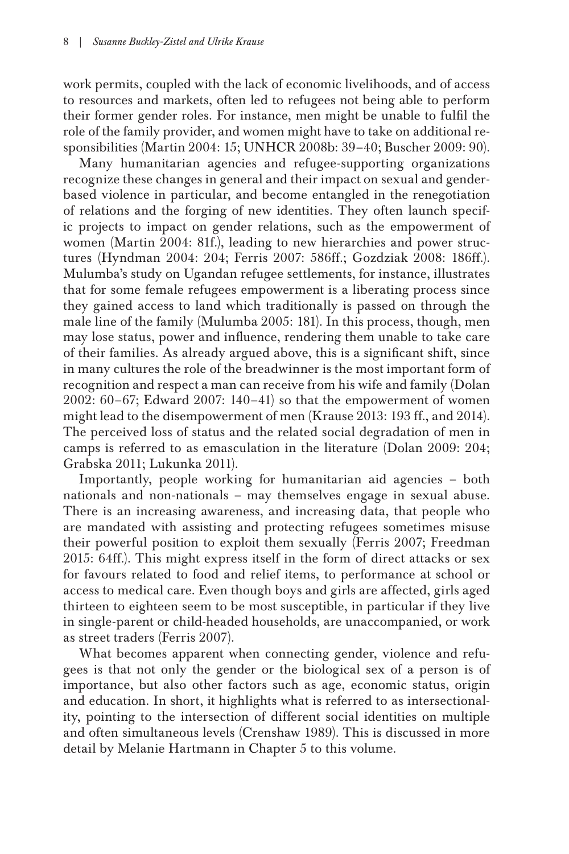work permits, coupled with the lack of economic livelihoods, and of access to resources and markets, often led to refugees not being able to perform their former gender roles. For instance, men might be unable to fulfil the role of the family provider, and women might have to take on additional responsibilities (Martin 2004: 15; UNHCR 2008b: 39–40; Buscher 2009: 90).

Many humanitarian agencies and refugee-supporting organizations recognize these changes in general and their impact on sexual and genderbased violence in particular, and become entangled in the renegotiation of relations and the forging of new identities. They often launch specific projects to impact on gender relations, such as the empowerment of women (Martin 2004: 81f.), leading to new hierarchies and power structures (Hyndman 2004: 204; Ferris 2007: 586ff.; Gozdziak 2008: 186ff.). Mulumba's study on Ugandan refugee settlements, for instance, illustrates that for some female refugees empowerment is a liberating process since they gained access to land which traditionally is passed on through the male line of the family (Mulumba 2005: 181). In this process, though, men may lose status, power and influence, rendering them unable to take care of their families. As already argued above, this is a significant shift, since in many cultures the role of the breadwinner is the most important form of recognition and respect a man can receive from his wife and family (Dolan 2002: 60–67; Edward 2007: 140–41) so that the empowerment of women might lead to the disempowerment of men (Krause 2013: 193 ff., and 2014). The perceived loss of status and the related social degradation of men in camps is referred to as emasculation in the literature (Dolan 2009: 204; Grabska 2011; Lukunka 2011).

Importantly, people working for humanitarian aid agencies – both nationals and non-nationals – may themselves engage in sexual abuse. There is an increasing awareness, and increasing data, that people who are mandated with assisting and protecting refugees sometimes misuse their powerful position to exploit them sexually (Ferris 2007; Freedman 2015: 64ff.). This might express itself in the form of direct attacks or sex for favours related to food and relief items, to performance at school or access to medical care. Even though boys and girls are affected, girls aged thirteen to eighteen seem to be most susceptible, in particular if they live in single-parent or child-headed households, are unaccompanied, or work as street traders (Ferris 2007).

What becomes apparent when connecting gender, violence and refugees is that not only the gender or the biological sex of a person is of importance, but also other factors such as age, economic status, origin and education. In short, it highlights what is referred to as intersectionality, pointing to the intersection of different social identities on multiple and often simultaneous levels (Crenshaw 1989). This is discussed in more detail by Melanie Hartmann in Chapter 5 to this volume.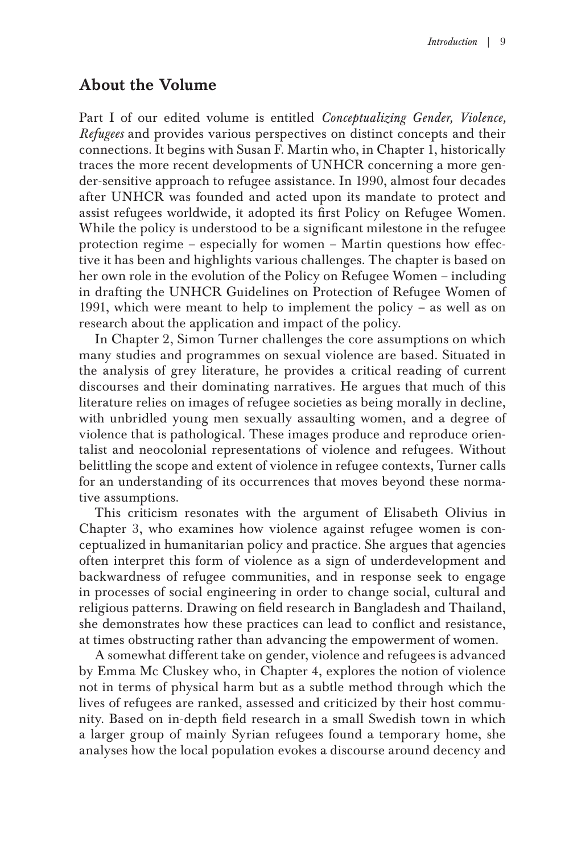#### About the Volume

Part I of our edited volume is entitled *Conceptualizing Gender, Violence, Refugees* and provides various perspectives on distinct concepts and their connections. It begins with Susan F. Martin who, in Chapter 1, historically traces the more recent developments of UNHCR concerning a more gender-sensitive approach to refugee assistance. In 1990, almost four decades after UNHCR was founded and acted upon its mandate to protect and assist refugees worldwide, it adopted its first Policy on Refugee Women. While the policy is understood to be a significant milestone in the refugee protection regime – especially for women – Martin questions how effective it has been and highlights various challenges. The chapter is based on her own role in the evolution of the Policy on Refugee Women – including in drafting the UNHCR Guidelines on Protection of Refugee Women of 1991, which were meant to help to implement the policy – as well as on research about the application and impact of the policy.

In Chapter 2, Simon Turner challenges the core assumptions on which many studies and programmes on sexual violence are based. Situated in the analysis of grey literature, he provides a critical reading of current discourses and their dominating narratives. He argues that much of this literature relies on images of refugee societies as being morally in decline, with unbridled young men sexually assaulting women, and a degree of violence that is pathological. These images produce and reproduce orientalist and neocolonial representations of violence and refugees. Without belittling the scope and extent of violence in refugee contexts, Turner calls for an understanding of its occurrences that moves beyond these normative assumptions.

This criticism resonates with the argument of Elisabeth Olivius in Chapter 3, who examines how violence against refugee women is conceptualized in humanitarian policy and practice. She argues that agencies often interpret this form of violence as a sign of underdevelopment and backwardness of refugee communities, and in response seek to engage in processes of social engineering in order to change social, cultural and religious patterns. Drawing on field research in Bangladesh and Thailand, she demonstrates how these practices can lead to conflict and resistance, at times obstructing rather than advancing the empowerment of women.

A somewhat different take on gender, violence and refugees is advanced by Emma Mc Cluskey who, in Chapter 4, explores the notion of violence not in terms of physical harm but as a subtle method through which the lives of refugees are ranked, assessed and criticized by their host community. Based on in-depth field research in a small Swedish town in which a larger group of mainly Syrian refugees found a temporary home, she analyses how the local population evokes a discourse around decency and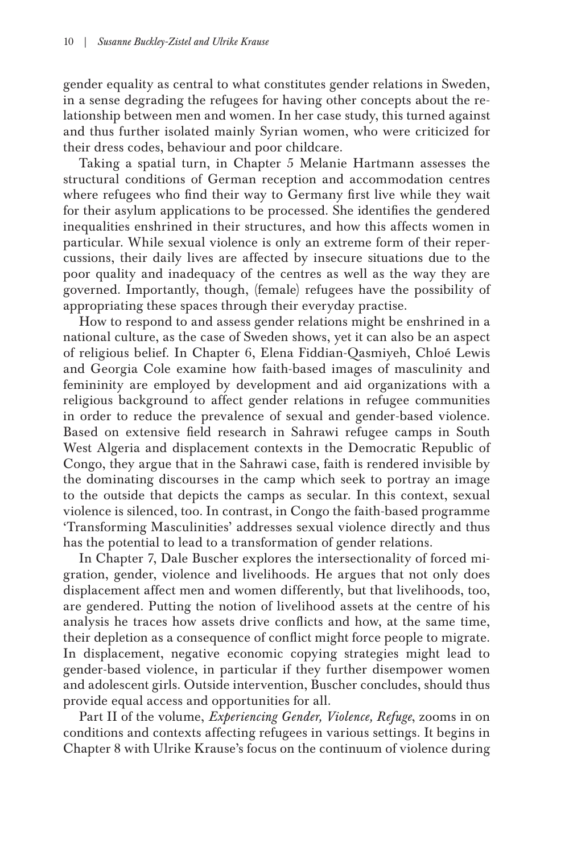gender equality as central to what constitutes gender relations in Sweden, in a sense degrading the refugees for having other concepts about the relationship between men and women. In her case study, this turned against and thus further isolated mainly Syrian women, who were criticized for their dress codes, behaviour and poor childcare.

Taking a spatial turn, in Chapter 5 Melanie Hartmann assesses the structural conditions of German reception and accommodation centres where refugees who find their way to Germany first live while they wait for their asylum applications to be processed. She identifies the gendered inequalities enshrined in their structures, and how this affects women in particular. While sexual violence is only an extreme form of their repercussions, their daily lives are affected by insecure situations due to the poor quality and inadequacy of the centres as well as the way they are governed. Importantly, though, (female) refugees have the possibility of appropriating these spaces through their everyday practise.

How to respond to and assess gender relations might be enshrined in a national culture, as the case of Sweden shows, yet it can also be an aspect of religious belief. In Chapter 6, Elena Fiddian-Qasmiyeh, Chloé Lewis and Georgia Cole examine how faith-based images of masculinity and femininity are employed by development and aid organizations with a religious background to affect gender relations in refugee communities in order to reduce the prevalence of sexual and gender-based violence. Based on extensive field research in Sahrawi refugee camps in South West Algeria and displacement contexts in the Democratic Republic of Congo, they argue that in the Sahrawi case, faith is rendered invisible by the dominating discourses in the camp which seek to portray an image to the outside that depicts the camps as secular. In this context, sexual violence is silenced, too. In contrast, in Congo the faith-based programme 'Transforming Masculinities' addresses sexual violence directly and thus has the potential to lead to a transformation of gender relations.

In Chapter 7, Dale Buscher explores the intersectionality of forced migration, gender, violence and livelihoods. He argues that not only does displacement affect men and women differently, but that livelihoods, too, are gendered. Putting the notion of livelihood assets at the centre of his analysis he traces how assets drive conflicts and how, at the same time, their depletion as a consequence of conflict might force people to migrate. In displacement, negative economic copying strategies might lead to gender-based violence, in particular if they further disempower women and adolescent girls. Outside intervention, Buscher concludes, should thus provide equal access and opportunities for all.

Part II of the volume, *Experiencing Gender, Violence, Refuge*, zooms in on conditions and contexts affecting refugees in various settings. It begins in Chapter 8 with Ulrike Krause's focus on the continuum of violence during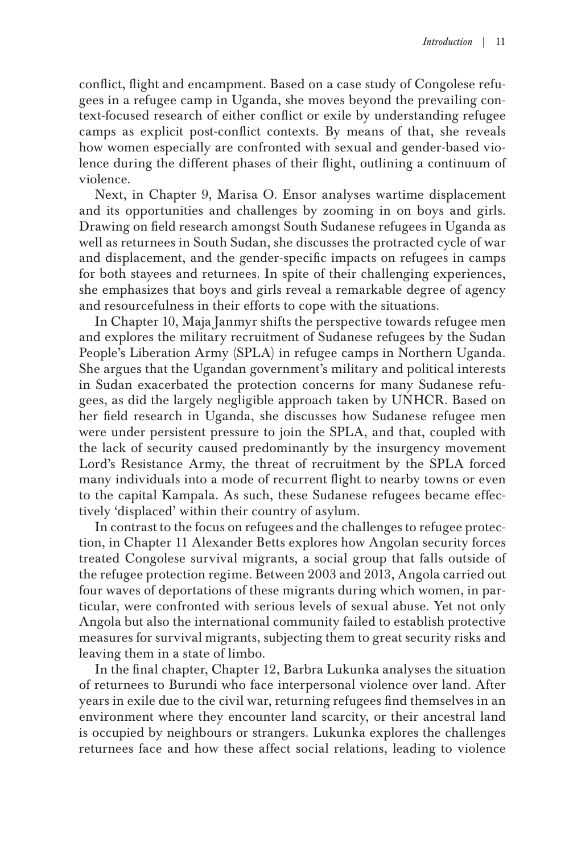conflict, flight and encampment. Based on a case study of Congolese refugees in a refugee camp in Uganda, she moves beyond the prevailing context-focused research of either conflict or exile by understanding refugee camps as explicit post-conflict contexts. By means of that, she reveals how women especially are confronted with sexual and gender-based violence during the different phases of their flight, outlining a continuum of violence.

Next, in Chapter 9, Marisa O. Ensor analyses wartime displacement and its opportunities and challenges by zooming in on boys and girls. Drawing on field research amongst South Sudanese refugees in Uganda as well as returnees in South Sudan, she discusses the protracted cycle of war and displacement, and the gender-specific impacts on refugees in camps for both stayees and returnees. In spite of their challenging experiences, she emphasizes that boys and girls reveal a remarkable degree of agency and resourcefulness in their efforts to cope with the situations.

In Chapter 10, Maja Janmyr shifts the perspective towards refugee men and explores the military recruitment of Sudanese refugees by the Sudan People's Liberation Army (SPLA) in refugee camps in Northern Uganda. She argues that the Ugandan government's military and political interests in Sudan exacerbated the protection concerns for many Sudanese refugees, as did the largely negligible approach taken by UNHCR. Based on her field research in Uganda, she discusses how Sudanese refugee men were under persistent pressure to join the SPLA, and that, coupled with the lack of security caused predominantly by the insurgency movement Lord's Resistance Army, the threat of recruitment by the SPLA forced many individuals into a mode of recurrent flight to nearby towns or even to the capital Kampala. As such, these Sudanese refugees became effectively 'displaced' within their country of asylum.

In contrast to the focus on refugees and the challenges to refugee protection, in Chapter 11 Alexander Betts explores how Angolan security forces treated Congolese survival migrants, a social group that falls outside of the refugee protection regime. Between 2003 and 2013, Angola carried out four waves of deportations of these migrants during which women, in particular, were confronted with serious levels of sexual abuse. Yet not only Angola but also the international community failed to establish protective measures for survival migrants, subjecting them to great security risks and leaving them in a state of limbo.

In the final chapter, Chapter 12, Barbra Lukunka analyses the situation of returnees to Burundi who face interpersonal violence over land. After years in exile due to the civil war, returning refugees find themselves in an environment where they encounter land scarcity, or their ancestral land is occupied by neighbours or strangers. Lukunka explores the challenges returnees face and how these affect social relations, leading to violence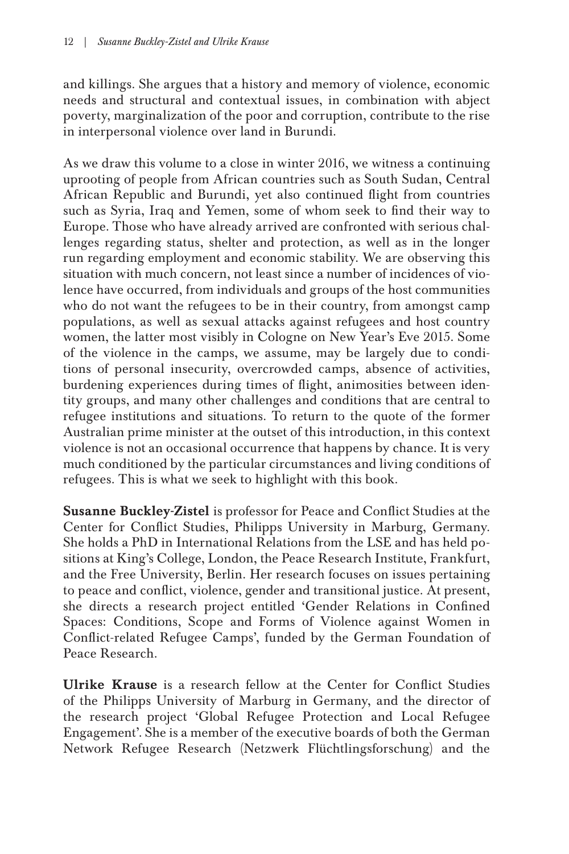and killings. She argues that a history and memory of violence, economic needs and structural and contextual issues, in combination with abject poverty, marginalization of the poor and corruption, contribute to the rise in interpersonal violence over land in Burundi.

As we draw this volume to a close in winter 2016, we witness a continuing uprooting of people from African countries such as South Sudan, Central African Republic and Burundi, yet also continued flight from countries such as Syria, Iraq and Yemen, some of whom seek to find their way to Europe. Those who have already arrived are confronted with serious challenges regarding status, shelter and protection, as well as in the longer run regarding employment and economic stability. We are observing this situation with much concern, not least since a number of incidences of violence have occurred, from individuals and groups of the host communities who do not want the refugees to be in their country, from amongst camp populations, as well as sexual attacks against refugees and host country women, the latter most visibly in Cologne on New Year's Eve 2015. Some of the violence in the camps, we assume, may be largely due to conditions of personal insecurity, overcrowded camps, absence of activities, burdening experiences during times of flight, animosities between identity groups, and many other challenges and conditions that are central to refugee institutions and situations. To return to the quote of the former Australian prime minister at the outset of this introduction, in this context violence is not an occasional occurrence that happens by chance. It is very much conditioned by the particular circumstances and living conditions of refugees. This is what we seek to highlight with this book.

Susanne Buckley-Zistel is professor for Peace and Conflict Studies at the Center for Conflict Studies, Philipps University in Marburg, Germany. She holds a PhD in International Relations from the LSE and has held positions at King's College, London, the Peace Research Institute, Frankfurt, and the Free University, Berlin. Her research focuses on issues pertaining to peace and conflict, violence, gender and transitional justice. At present, she directs a research project entitled 'Gender Relations in Confined Spaces: Conditions, Scope and Forms of Violence against Women in Conflict-related Refugee Camps', funded by the German Foundation of Peace Research.

Ulrike Krause is a research fellow at the Center for Conflict Studies of the Philipps University of Marburg in Germany, and the director of the research project 'Global Refugee Protection and Local Refugee Engagement'. She is a member of the executive boards of both the German Network Refugee Research (Netzwerk Flüchtlingsforschung) and the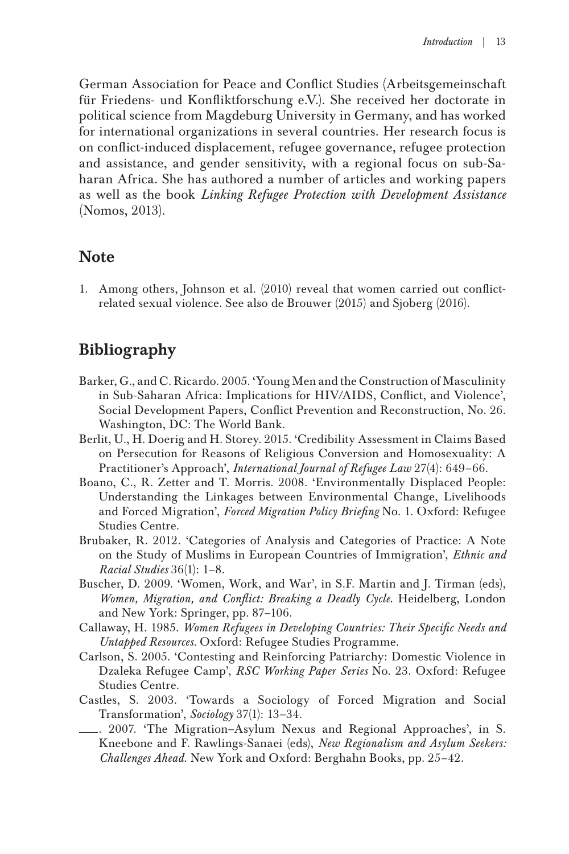German Association for Peace and Conflict Studies (Arbeitsgemeinschaft für Friedens- und Konfliktforschung e.V.). She received her doctorate in political science from Magdeburg University in Germany, and has worked for international organizations in several countries. Her research focus is on conflict-induced displacement, refugee governance, refugee protection and assistance, and gender sensitivity, with a regional focus on sub-Saharan Africa. She has authored a number of articles and working papers as well as the book *Linking Refugee Protection with Development Assistance*  (Nomos, 2013).

#### Note

1. Among others, Johnson et al. (2010) reveal that women carried out conflictrelated sexual violence. See also de Brouwer (2015) and Sjoberg (2016).

## Bibliography

- Barker, G., and C. Ricardo. 2005. 'Young Men and the Construction of Masculinity in Sub-Saharan Africa: Implications for HIV/AIDS, Conflict, and Violence', Social Development Papers, Conflict Prevention and Reconstruction, No. 26. Washington, DC: The World Bank.
- Berlit, U., H. Doerig and H. Storey. 2015. 'Credibility Assessment in Claims Based on Persecution for Reasons of Religious Conversion and Homosexuality: A Practitioner's Approach', *International Journal of Refugee Law* 27(4): 649–66.
- Boano, C., R. Zetter and T. Morris. 2008. 'Environmentally Displaced People: Understanding the Linkages between Environmental Change, Livelihoods and Forced Migration', *Forced Migration Policy Briefing* No. 1. Oxford: Refugee Studies Centre.
- Brubaker, R. 2012. 'Categories of Analysis and Categories of Practice: A Note on the Study of Muslims in European Countries of Immigration', *Ethnic and Racial Studies* 36(1): 1–8.
- Buscher, D. 2009. 'Women, Work, and War', in S.F. Martin and J. Tirman (eds), *Women, Migration, and Conflict: Breaking a Deadly Cycle*. Heidelberg, London and New York: Springer, pp. 87–106.
- Callaway, H. 1985. *Women Refugees in Developing Countries: Their Specific Needs and Untapped Resources.* Oxford: Refugee Studies Programme.
- Carlson, S. 2005. 'Contesting and Reinforcing Patriarchy: Domestic Violence in Dzaleka Refugee Camp', *RSC Working Paper Series* No. 23. Oxford: Refugee Studies Centre.
- Castles, S. 2003. 'Towards a Sociology of Forced Migration and Social Transformation', *Sociology* 37(1): 13–34.
- . 2007. 'The Migration–Asylum Nexus and Regional Approaches', in S. Kneebone and F. Rawlings-Sanaei (eds), *New Regionalism and Asylum Seekers: Challenges Ahead*. New York and Oxford: Berghahn Books, pp. 25–42.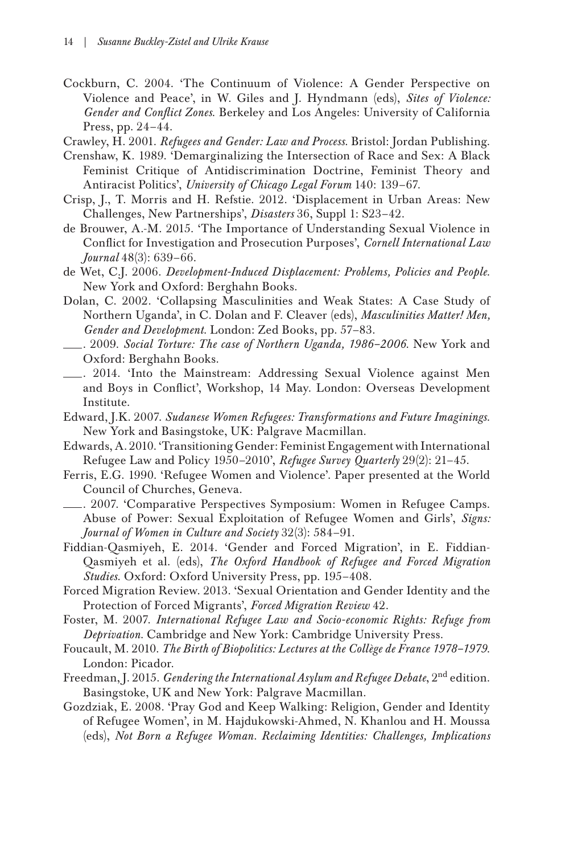- Cockburn, C. 2004. 'The Continuum of Violence: A Gender Perspective on Violence and Peace', in W. Giles and J. Hyndmann (eds), *Sites of Violence: Gender and Conflict Zones*. Berkeley and Los Angeles: University of California Press, pp. 24–44.
- Crawley, H. 2001. *Refugees and Gender: Law and Process*. Bristol: Jordan Publishing.
- Crenshaw, K. 1989. 'Demarginalizing the Intersection of Race and Sex: A Black Feminist Critique of Antidiscrimination Doctrine, Feminist Theory and Antiracist Politics', *University of Chicago Legal Forum* 140: 139–67.
- Crisp, J., T. Morris and H. Refstie. 2012. 'Displacement in Urban Areas: New Challenges, New Partnerships', *Disasters* 36, Suppl 1: S23–42.
- de Brouwer, A.-M. 2015. 'The Importance of Understanding Sexual Violence in Conflict for Investigation and Prosecution Purposes', *Cornell International Law Journal* 48(3): 639–66.
- de Wet, C.J. 2006. *Development-Induced Displacement: Problems, Policies and People*. New York and Oxford: Berghahn Books.
- Dolan, C. 2002. 'Collapsing Masculinities and Weak States: A Case Study of Northern Uganda', in C. Dolan and F. Cleaver (eds), *Masculinities Matter! Men, Gender and Development*. London: Zed Books, pp. 57–83.
- . 2009. *Social Torture: The case of Northern Uganda, 1986–2006*. New York and Oxford: Berghahn Books.
- . 2014. 'Into the Mainstream: Addressing Sexual Violence against Men and Boys in Conflict', Workshop, 14 May. London: Overseas Development Institute.
- Edward, J.K. 2007. *Sudanese Women Refugees: Transformations and Future Imaginings*. New York and Basingstoke, UK: Palgrave Macmillan.
- Edwards, A. 2010. 'Transitioning Gender: Feminist Engagement with International Refugee Law and Policy 1950–2010', *Refugee Survey Quarterly* 29(2): 21–45.
- Ferris, E.G. 1990. 'Refugee Women and Violence'. Paper presented at the World Council of Churches, Geneva.
- . 2007. 'Comparative Perspectives Symposium: Women in Refugee Camps. Abuse of Power: Sexual Exploitation of Refugee Women and Girls', *Signs: Journal of Women in Culture and Society* 32(3): 584–91.
- Fiddian-Qasmiyeh, E. 2014. 'Gender and Forced Migration', in E. Fiddian-Qasmiyeh et al. (eds), *The Oxford Handbook of Refugee and Forced Migration Studies*. Oxford: Oxford University Press, pp. 195–408.
- Forced Migration Review. 2013. 'Sexual Orientation and Gender Identity and the Protection of Forced Migrants', *Forced Migration Review* 42.
- Foster, M. 2007. *International Refugee Law and Socio-economic Rights: Refuge from Deprivation*. Cambridge and New York: Cambridge University Press.
- Foucault, M. 2010. *The Birth of Biopolitics: Lectures at the Collège de France 1978–1979*. London: Picador.
- Freedman, J. 2015. *Gendering the International Asylum and Refugee Debate*, 2<sup>nd</sup> edition. Basingstoke, UK and New York: Palgrave Macmillan.
- Gozdziak, E. 2008. 'Pray God and Keep Walking: Religion, Gender and Identity of Refugee Women', in M. Hajdukowski-Ahmed, N. Khanlou and H. Moussa (eds), *Not Born a Refugee Woman. Reclaiming Identities: Challenges, Implications*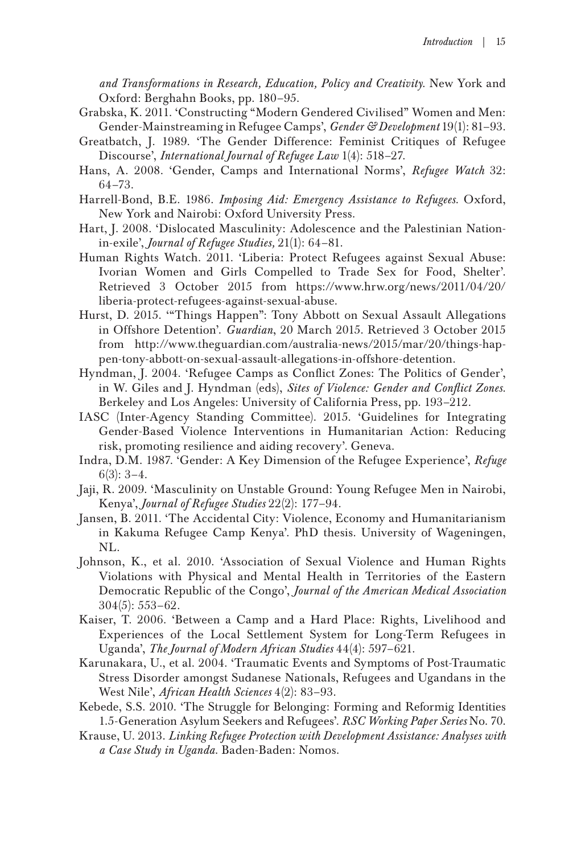*and Transformations in Research, Education, Policy and Creativity*. New York and Oxford: Berghahn Books, pp. 180–95.

- Grabska, K. 2011. 'Constructing "Modern Gendered Civilised" Women and Men: Gender-Mainstreaming in Refugee Camps', *Gender & Development* 19(1): 81–93.
- Greatbatch, J. 1989. 'The Gender Difference: Feminist Critiques of Refugee Discourse', *International Journal of Refugee Law* 1(4): 518–27.
- Hans, A. 2008. 'Gender, Camps and International Norms', *Refugee Watch* 32: 64–73.
- Harrell-Bond, B.E. 1986. *Imposing Aid: Emergency Assistance to Refugees*. Oxford, New York and Nairobi: Oxford University Press.
- Hart, J. 2008. 'Dislocated Masculinity: Adolescence and the Palestinian Nationin-exile', *Journal of Refugee Studies,* 21(1): 64–81.
- Human Rights Watch. 2011. 'Liberia: Protect Refugees against Sexual Abuse: Ivorian Women and Girls Compelled to Trade Sex for Food, Shelter'. Retrieved 3 October 2015 from https://www.hrw.org/news/2011/04/20/ liberia-protect-refugees-against-sexual-abuse.
- Hurst, D. 2015. '"Things Happen": Tony Abbott on Sexual Assault Allegations in Offshore Detention'. *Guardian*, 20 March 2015. Retrieved 3 October 2015 from http://www.theguardian.com/australia-news/2015/mar/20/things-happen-tony-abbott-on-sexual-assault-allegations-in-offshore-detention.
- Hyndman, J. 2004. 'Refugee Camps as Conflict Zones: The Politics of Gender', in W. Giles and J. Hyndman (eds), *Sites of Violence: Gender and Conflict Zones*. Berkeley and Los Angeles: University of California Press, pp. 193–212.
- IASC (Inter-Agency Standing Committee). 2015. 'Guidelines for Integrating Gender-Based Violence Interventions in Humanitarian Action: Reducing risk, promoting resilience and aiding recovery'. Geneva.
- Indra, D.M. 1987. 'Gender: A Key Dimension of the Refugee Experience', *Refuge*  $6(3): 3-4.$
- Jaji, R. 2009. 'Masculinity on Unstable Ground: Young Refugee Men in Nairobi, Kenya', *Journal of Refugee Studies* 22(2): 177–94.
- Jansen, B. 2011. 'The Accidental City: Violence, Economy and Humanitarianism in Kakuma Refugee Camp Kenya'. PhD thesis. University of Wageningen, NL.
- Johnson, K., et al. 2010. 'Association of Sexual Violence and Human Rights Violations with Physical and Mental Health in Territories of the Eastern Democratic Republic of the Congo', *Journal of the American Medical Association* 304(5): 553–62.
- Kaiser, T. 2006. 'Between a Camp and a Hard Place: Rights, Livelihood and Experiences of the Local Settlement System for Long-Term Refugees in Uganda', *The Journal of Modern African Studies* 44(4): 597–621.
- Karunakara, U., et al. 2004. 'Traumatic Events and Symptoms of Post-Traumatic Stress Disorder amongst Sudanese Nationals, Refugees and Ugandans in the West Nile', *African Health Sciences* 4(2): 83–93.
- Kebede, S.S. 2010. 'The Struggle for Belonging: Forming and Reformig Identities 1.5-Generation Asylum Seekers and Refugees'. *RSC Working Paper Series* No. 70.
- Krause, U. 2013. *Linking Refugee Protection with Development Assistance: Analyses with a Case Study in Uganda*. Baden-Baden: Nomos.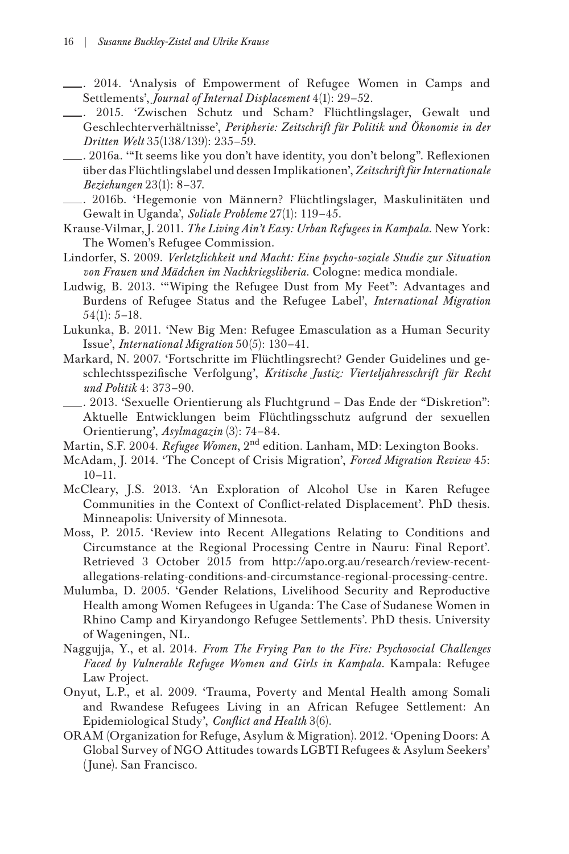- . 2014. 'Analysis of Empowerment of Refugee Women in Camps and Settlements', *Journal of Internal Displacement* 4(1): 29–52.
- . 2015. 'Zwischen Schutz und Scham? Flüchtlingslager, Gewalt und Geschlechterverhältnisse', *Peripherie: Zeitschrift für Politik und Ökonomie in der Dritten Welt* 35(138/139): 235–59.
- . 2016a. '"It seems like you don't have identity, you don't belong". Reflexionen über das Flüchtlingslabel und dessen Implikationen', *Zeitschrift für Internationale Beziehungen* 23(1): 8–37.
- . 2016b. 'Hegemonie von Männern? Flüchtlingslager, Maskulinitäten und Gewalt in Uganda', *Soliale Probleme* 27(1): 119–45.
- Krause-Vilmar, J. 2011. *The Living Ain't Easy: Urban Refugees in Kampala*. New York: The Women's Refugee Commission.
- Lindorfer, S. 2009. *Verletzlichkeit und Macht: Eine psycho-soziale Studie zur Situation von Frauen und Mädchen im Nachkriegsliberia*. Cologne: medica mondiale.
- Ludwig, B. 2013. '"Wiping the Refugee Dust from My Feet": Advantages and Burdens of Refugee Status and the Refugee Label', *International Migration* 54(1): 5–18.
- Lukunka, B. 2011. 'New Big Men: Refugee Emasculation as a Human Security Issue', *International Migration* 50(5): 130–41.
- Markard, N. 2007. 'Fortschritte im Flüchtlingsrecht? Gender Guidelines und geschlechtsspezifische Verfolgung', *Kritische Justiz: Vierteljahresschrift für Recht und Politik* 4: 373–90.
- . 2013. 'Sexuelle Orientierung als Fluchtgrund Das Ende der "Diskretion": Aktuelle Entwicklungen beim Flüchtlingsschutz aufgrund der sexuellen Orientierung', *Asylmagazin* (3): 74–84.
- Martin, S.F. 2004. *Refugee Women*, 2nd edition. Lanham, MD: Lexington Books.
- McAdam, J. 2014. 'The Concept of Crisis Migration', *Forced Migration Review* 45:  $10-11.$
- McCleary, J.S. 2013. 'An Exploration of Alcohol Use in Karen Refugee Communities in the Context of Conflict-related Displacement'. PhD thesis. Minneapolis: University of Minnesota.
- Moss, P. 2015. 'Review into Recent Allegations Relating to Conditions and Circumstance at the Regional Processing Centre in Nauru: Final Report'. Retrieved 3 October 2015 from http://apo.org.au/research/review-recentallegations-relating-conditions-and-circumstance-regional-processing-centre.
- Mulumba, D. 2005. 'Gender Relations, Livelihood Security and Reproductive Health among Women Refugees in Uganda: The Case of Sudanese Women in Rhino Camp and Kiryandongo Refugee Settlements'. PhD thesis. University of Wageningen, NL.
- Naggujja, Y., et al. 2014. *From The Frying Pan to the Fire: Psychosocial Challenges Faced by Vulnerable Refugee Women and Girls in Kampala*. Kampala: Refugee Law Project.
- Onyut, L.P., et al. 2009. 'Trauma, Poverty and Mental Health among Somali and Rwandese Refugees Living in an African Refugee Settlement: An Epidemiological Study', *Conflict and Health* 3(6).
- ORAM (Organization for Refuge, Asylum & Migration). 2012. 'Opening Doors: A Global Survey of NGO Attitudes towards LGBTI Refugees & Asylum Seekers' ( June). San Francisco.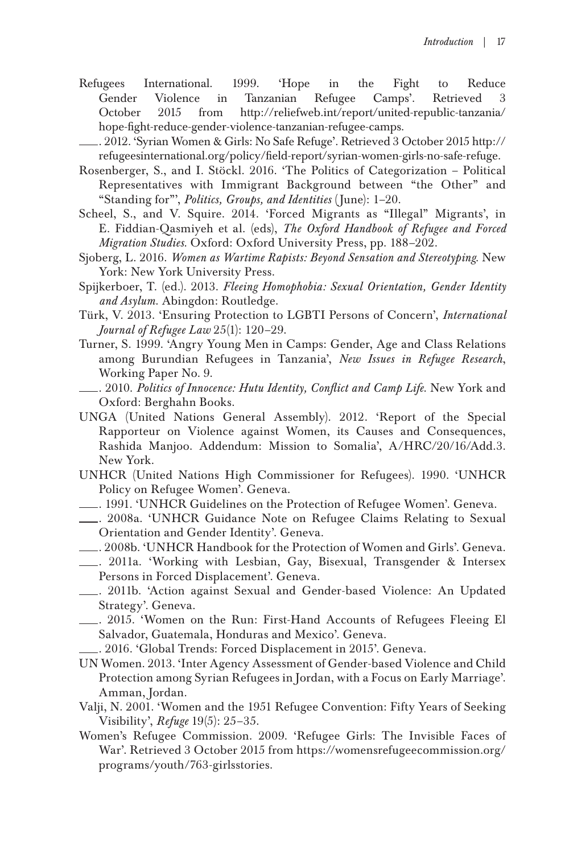- Refugees International. 1999. 'Hope in the Fight to Reduce Gender Violence in Tanzanian Refugee Camps'. Retrieved 3 October 2015 from http://reliefweb.int/report/united-republic-tanzania/ hope-fight-reduce-gender-violence-tanzanian-refugee-camps.
- . 2012. 'Syrian Women & Girls: No Safe Refuge'. Retrieved 3 October 2015 http:// refugeesinternational.org/policy/field-report/syrian-women-girls-no-safe-refuge.
- Rosenberger, S., and I. Stöckl. 2016. 'The Politics of Categorization Political Representatives with Immigrant Background between "the Other" and "Standing for"', *Politics, Groups, and Identities* ( June): 1–20.
- Scheel, S., and V. Squire. 2014. 'Forced Migrants as "Illegal" Migrants', in E. Fiddian-Qasmiyeh et al. (eds), *The Oxford Handbook of Refugee and Forced Migration Studies*. Oxford: Oxford University Press, pp. 188–202.
- Sjoberg, L. 2016. *Women as Wartime Rapists: Beyond Sensation and Stereotyping*. New York: New York University Press.
- Spijkerboer, T. (ed.). 2013. *Fleeing Homophobia: Sexual Orientation, Gender Identity and Asylum*. Abingdon: Routledge.
- Türk, V. 2013. 'Ensuring Protection to LGBTI Persons of Concern', *International Journal of Refugee Law* 25(1): 120–29.
- Turner, S. 1999. 'Angry Young Men in Camps: Gender, Age and Class Relations among Burundian Refugees in Tanzania', *New Issues in Refugee Research*, Working Paper No. 9.
- . 2010. *Politics of Innocence: Hutu Identity, Conflict and Camp Life*. New York and Oxford: Berghahn Books.
- UNGA (United Nations General Assembly). 2012. 'Report of the Special Rapporteur on Violence against Women, its Causes and Consequences, Rashida Manjoo. Addendum: Mission to Somalia', A/HRC/20/16/Add.3. New York.
- UNHCR (United Nations High Commissioner for Refugees). 1990. 'UNHCR Policy on Refugee Women'. Geneva.
- . 1991. 'UNHCR Guidelines on the Protection of Refugee Women'. Geneva.
- . 2008a. 'UNHCR Guidance Note on Refugee Claims Relating to Sexual Orientation and Gender Identity'. Geneva.
- . 2008b. 'UNHCR Handbook for the Protection of Women and Girls'. Geneva.
- . 2011a. 'Working with Lesbian, Gay, Bisexual, Transgender & Intersex Persons in Forced Displacement'. Geneva.
- . 2011b. 'Action against Sexual and Gender-based Violence: An Updated Strategy'. Geneva.
- . 2015. 'Women on the Run: First-Hand Accounts of Refugees Fleeing El Salvador, Guatemala, Honduras and Mexico'. Geneva.
	- . 2016. 'Global Trends: Forced Displacement in 2015'. Geneva.
- UN Women. 2013. 'Inter Agency Assessment of Gender-based Violence and Child Protection among Syrian Refugees in Jordan, with a Focus on Early Marriage'. Amman, Jordan.
- Valji, N. 2001. 'Women and the 1951 Refugee Convention: Fifty Years of Seeking Visibility', *Refuge* 19(5): 25–35.
- Women's Refugee Commission. 2009. 'Refugee Girls: The Invisible Faces of War'. Retrieved 3 October 2015 from https://womensrefugeecommission.org/ programs/youth/763-girlsstories.